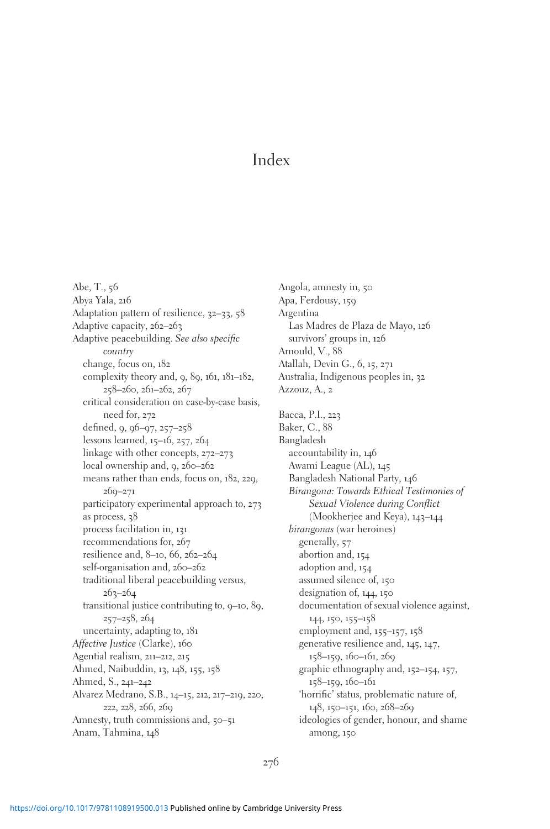Abe, T., 56 Abya Yala, 216 Adaptation pattern of resilience, 32-33, 58 Adaptive capacity, 262–263 Adaptive peacebuilding. See also specific country change, focus on, 182 complexity theory and, 9, 89, 161, 181–182, 258–260, 261–262, 267 critical consideration on case-by-case basis, need for, 272 defined, 9, 96–97, 257–258 lessons learned, 15–16, 257, 264 linkage with other concepts, 272–273 local ownership and, 9, 260-262 means rather than ends, focus on, 182, 229, 269–271 participatory experimental approach to, 273 as process, 38 process facilitation in, 131 recommendations for, 267 resilience and, 8–10, 66, 262–264 self-organisation and, 260-262 traditional liberal peacebuilding versus, 263–264 transitional justice contributing to, 9–10, 89, 257–258, 264 uncertainty, adapting to, 181 Affective Justice (Clarke), 160 Agential realism, 211–212, 215 Ahmed, Naibuddin, 13, 148, 155, 158 Ahmed, S., 241–242 Alvarez Medrano, S.B., 14–15, 212, 217–219, 220, 222, 228, 266, 269 Amnesty, truth commissions and, 50–51 Anam, Tahmina, 148

Angola, amnesty in, 50 Apa, Ferdousy, 159 Argentina Las Madres de Plaza de Mayo, 126 survivors' groups in, 126 Arnould, V., 88 Atallah, Devin G., 6, 15, 271 Australia, Indigenous peoples in, 32 Azzouz, A., 2 Bacca, P.I., 223 Baker, C., 88 Bangladesh accountability in, 146 Awami League (AL), 145 Bangladesh National Party, 146 Birangona: Towards Ethical Testimonies of Sexual Violence during Conflict (Mookherjee and Keya), 143–144 birangonas (war heroines) generally, 57 abortion and, 154 adoption and, 154 assumed silence of, 150 designation of, 144, 150 documentation of sexual violence against, 144, 150, 155–158 employment and, 155–157, 158 generative resilience and, 145, 147, 158–159, 160–161, 269 graphic ethnography and, 152–154, 157, 158–159, 160–161 'horrific' status, problematic nature of, 148, 150–151, 160, 268–269 ideologies of gender, honour, and shame among, 150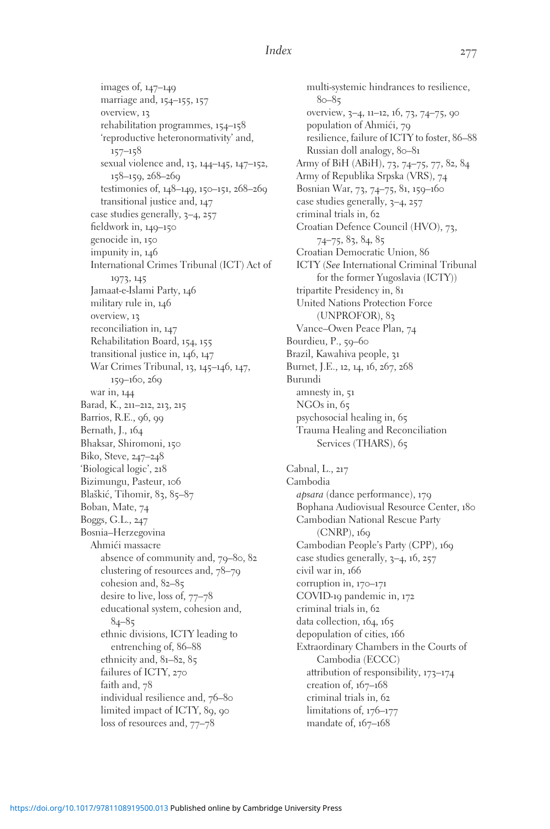images of, 147–149 marriage and, 154–155, 157 overview, 13 rehabilitation programmes, 154–158 'reproductive heteronormativity' and, 157–158 sexual violence and, 13, 144–145, 147–152, 158–159, 268–269 testimonies of, 148–149, 150–151, 268–269 transitional justice and, 147 case studies generally, 3–4, 257 fieldwork in, 149–150 genocide in, 150 impunity in, 146 International Crimes Tribunal (ICT) Act of 1973, 145 Jamaat-e-Islami Party, 146 military rule in, 146 overview, 13 reconciliation in, 147 Rehabilitation Board, 154, 155 transitional justice in, 146, 147 War Crimes Tribunal, 13, 145–146, 147, 159–160, 269 war in, 144 Barad, K., 211–212, 213, 215 Barrios, R.E., 96, 99 Bernath, J., 164 Bhaksar, Shiromoni, 150 Biko, Steve, 247–248 'Biological logic', 218 Bizimungu, Pasteur, 106 Blaškić, Tihomir, 83, 85-87 Boban, Mate, 74 Boggs, G.L., 247 Bosnia–Herzegovina Ahmići massacre absence of community and, 79–80, 82 clustering of resources and, 78–79 cohesion and, 82–85 desire to live, loss of, 77–78 educational system, cohesion and,  $84 - 85$ ethnic divisions, ICTY leading to entrenching of, 86–88 ethnicity and, 81–82, 85 failures of ICTY, 270 faith and, 78 individual resilience and, 76–80 limited impact of ICTY, 89, 90 loss of resources and, 77–78

multi-systemic hindrances to resilience, 80–85 overview, 3–4, 11–12, 16, 73, 74–75, 90 population of Ahmići, 79 resilience, failure of ICTY to foster, 86–88 Russian doll analogy, 80-81 Army of BiH (ABiH), 73, 74–75, 77, 82, 84 Army of Republika Srpska (VRS), 74 Bosnian War, 73, 74–75, 81, 159–160 case studies generally, 3–4, 257 criminal trials in, 62 Croatian Defence Council (HVO), 73, 74–75, 83, 84, 85 Croatian Democratic Union, 86 ICTY (See International Criminal Tribunal for the former Yugoslavia (ICTY)) tripartite Presidency in, 81 United Nations Protection Force (UNPROFOR), 83 Vance–Owen Peace Plan, 74 Bourdieu, P., 59–60 Brazil, Kawahiva people, 31 Burnet, J.E., 12, 14, 16, 267, 268 Burundi amnesty in, 51 NGOs in, 65 psychosocial healing in, 65 Trauma Healing and Reconciliation Services (THARS), 65 Cabnal, L., 217 Cambodia apsara (dance performance), 179 Bophana Audiovisual Resource Center, 180 Cambodian National Rescue Party (CNRP), 169 Cambodian People's Party (CPP), 169 case studies generally, 3–4, 16, 257 civil war in, 166 corruption in, 170–171 COVID-19 pandemic in, 172 criminal trials in, 62 data collection, 164, 165 depopulation of cities, 166 Extraordinary Chambers in the Courts of Cambodia (ECCC) attribution of responsibility, 173–174 creation of, 167–168 criminal trials in, 62 limitations of, 176–177 mandate of, 167–168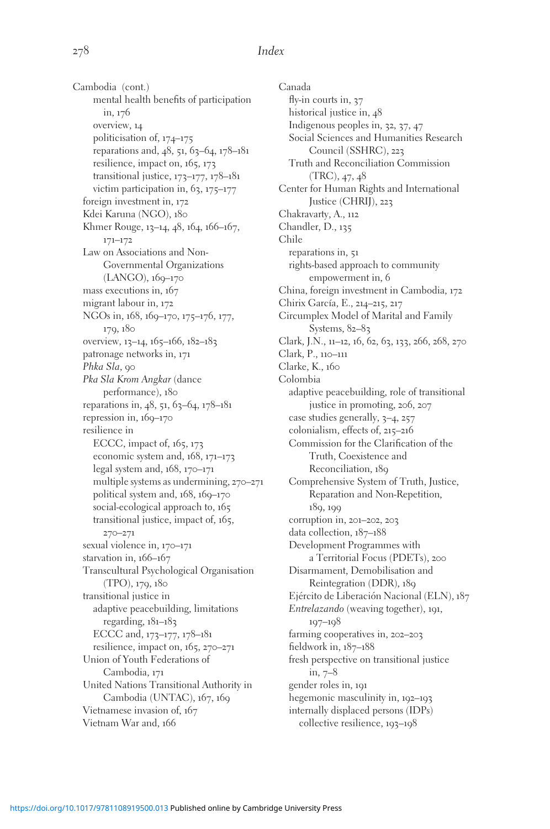Cambodia (cont.) mental health benefits of participation in, 176 overview, 14 politicisation of, 174–175 reparations and, 48, 51, 63–64, 178–181 resilience, impact on, 165, 173 transitional justice, 173–177, 178–181 victim participation in, 63, 175–177 foreign investment in, 172 Kdei Karuna (NGO), 180 Khmer Rouge, 13–14, 48, 164, 166–167, 171–172 Law on Associations and Non-Governmental Organizations (LANGO), 169–170 mass executions in, 167 migrant labour in, 172 NGOs in, 168, 169–170, 175–176, 177, 179, 180 overview, 13–14, 165–166, 182–183 patronage networks in, 171 Phka Sla, 90 Pka Sla Krom Angkar (dance performance), 180 reparations in, 48, 51, 63-64, 178-181 repression in, 169–170 resilience in ECCC, impact of, 165, 173 economic system and, 168, 171–173 legal system and, 168, 170–171 multiple systems as undermining, 270–271 political system and, 168, 169–170 social-ecological approach to, 165 transitional justice, impact of, 165, 270–271 sexual violence in, 170–171 starvation in, 166–167 Transcultural Psychological Organisation (TPO), 179, 180 transitional justice in adaptive peacebuilding, limitations regarding, 181–183 ECCC and, 173–177, 178–181 resilience, impact on, 165, 270–271 Union of Youth Federations of Cambodia, 171 United Nations Transitional Authority in Cambodia (UNTAC), 167, 169 Vietnamese invasion of, 167 Vietnam War and, 166

Canada fly-in courts in, 37 historical justice in,  $48$ Indigenous peoples in, 32, 37, 47 Social Sciences and Humanities Research Council (SSHRC), 223 Truth and Reconciliation Commission (TRC), 47, 48 Center for Human Rights and International Justice (CHRIJ), 223 Chakravarty, A., 112 Chandler, D., 135 Chile reparations in, 51 rights-based approach to community empowerment in, 6 China, foreign investment in Cambodia, 172 Chirix García, E., 214-215, 217 Circumplex Model of Marital and Family Systems, 82–83 Clark, J.N., 11–12, 16, 62, 63, 133, 266, 268, 270 Clark, P., 110–111 Clarke, K., 160 Colombia adaptive peacebuilding, role of transitional justice in promoting, 206, 207 case studies generally, 3–4, 257 colonialism, effects of, 215–216 Commission for the Clarification of the Truth, Coexistence and Reconciliation, 189 Comprehensive System of Truth, Justice, Reparation and Non-Repetition, 189, 199 corruption in, 201–202, 203 data collection, 187–188 Development Programmes with a Territorial Focus (PDETs), 200 Disarmament, Demobilisation and Reintegration (DDR), 189 Ejército de Liberación Nacional (ELN), 187 Entrelazando (weaving together), 191, 197–198 farming cooperatives in, 202–203 fieldwork in, 187–188 fresh perspective on transitional justice in, 7–8 gender roles in, 191 hegemonic masculinity in, 192–193 internally displaced persons (IDPs) collective resilience, 193–198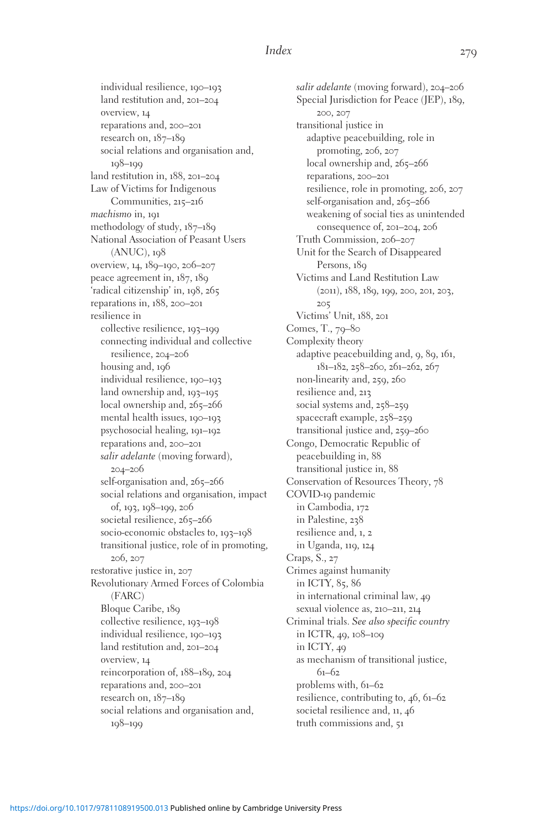individual resilience, 190–193 land restitution and, 201–204 overview, 14 reparations and, 200–201 research on, 187–189 social relations and organisation and, 198–199 land restitution in, 188, 201–204 Law of Victims for Indigenous Communities, 215–216 machismo in, 191 methodology of study, 187–189 National Association of Peasant Users  $(ANUC)$ ,  $108$ overview, 14, 189–190, 206–207 peace agreement in, 187, 189 'radical citizenship' in, 198, 265 reparations in, 188, 200–201 resilience in collective resilience, 193–199 connecting individual and collective resilience, 204–206 housing and, 196 individual resilience, 190–193 land ownership and, 193–195 local ownership and, 265–266 mental health issues, 190–193 psychosocial healing, 191–192 reparations and, 200–201 salir adelante (moving forward), 204–206 self-organisation and, 265-266 social relations and organisation, impact of, 193, 198–199, 206 societal resilience, 265-266 socio-economic obstacles to, 193–198 transitional justice, role of in promoting, 206, 207 restorative justice in, 207 Revolutionary Armed Forces of Colombia (FARC) Bloque Caribe, 189 collective resilience, 193–198 individual resilience, 190–193 land restitution and, 201–204 overview, 14 reincorporation of, 188–189, 204 reparations and, 200–201 research on, 187–189 social relations and organisation and, 198–199

salir adelante (moving forward), 204–206 Special Jurisdiction for Peace (JEP), 189, 200, 207 transitional justice in adaptive peacebuilding, role in promoting, 206, 207 local ownership and, 265-266 reparations, 200–201 resilience, role in promoting, 206, 207 self-organisation and, 265-266 weakening of social ties as unintended consequence of, 201–204, 206 Truth Commission, 206–207 Unit for the Search of Disappeared Persons, 180 Victims and Land Restitution Law (2011), 188, 189, 199, 200, 201, 203, 205 Victims' Unit, 188, 201 Comes, T., 79–80 Complexity theory adaptive peacebuilding and, 9, 89, 161, 181–182, 258–260, 261–262, 267 non-linearity and, 259, 260 resilience and, 213 social systems and, 258–259 spacecraft example, 258–259 transitional justice and, 259–260 Congo, Democratic Republic of peacebuilding in, 88 transitional justice in, 88 Conservation of Resources Theory, 78 COVID-19 pandemic in Cambodia, 172 in Palestine, 238 resilience and, 1, 2 in Uganda, 119, 124 Craps, S., 27 Crimes against humanity in ICTY, 85, 86 in international criminal law, 49 sexual violence as, 210–211, 214 Criminal trials. See also specific country in ICTR, 49, 108–109 in ICTY, 49 as mechanism of transitional justice, 61–62 problems with, 61–62 resilience, contributing to, 46, 61–62 societal resilience and, 11, 46 truth commissions and, 51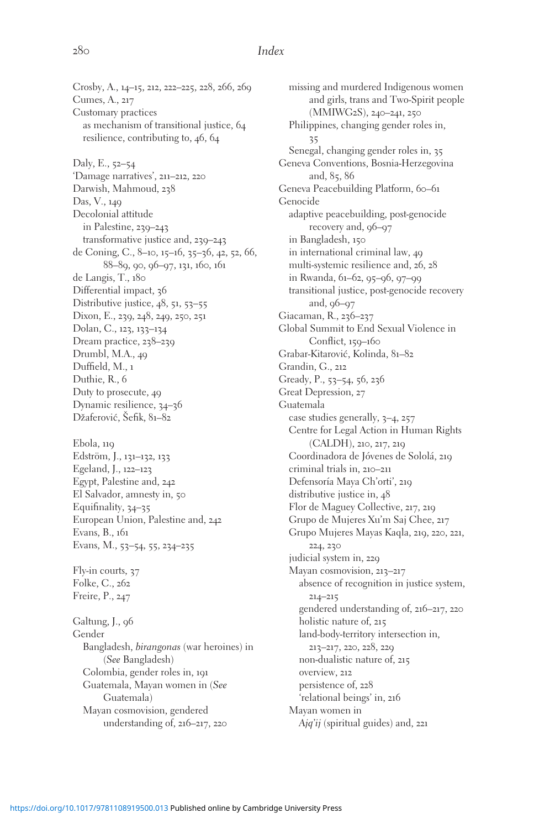Crosby, A., 14–15, 212, 222–225, 228, 266, 269 Cumes, A., 217 Customary practices as mechanism of transitional justice, 64 resilience, contributing to, 46, 64 Daly, E., 52–54 'Damage narratives', 211–212, 220 Darwish, Mahmoud, 238 Das, V., 149 Decolonial attitude in Palestine, 239–243 transformative justice and, 239–243 de Coning, C., 8–10, 15–16, 35–36, 42, 52, 66, 88–89, 90, 96–97, 131, 160, 161 de Langis, T., 180 Differential impact, 36 Distributive justice, 48, 51, 53–55 Dixon, E., 239, 248, 249, 250, 251 Dolan, C., 123, 133–134 Dream practice, 238–239 Drumbl, M.A., 49 Duffield, M., 1 Duthie, R., 6 Duty to prosecute, 49 Dynamic resilience, 34–36 Džaferović, Šefik, 81–82 Ebola, 119 Edström, J., 131–132, 133 Egeland, J., 122–123 Egypt, Palestine and, 242 El Salvador, amnesty in, 50 Equifinality, 34–35 European Union, Palestine and, 242 Evans, B., 161 Evans, M., 53–54, 55, 234–235 Fly-in courts, 37 Folke, C., 262 Freire, P., 247 Galtung, J., 96 Gender Bangladesh, birangonas (war heroines) in (See Bangladesh) Colombia, gender roles in, 191 Guatemala, Mayan women in (See Guatemala) Mayan cosmovision, gendered

missing and murdered Indigenous women and girls, trans and Two-Spirit people (MMIWG2S), 240–241, 250 Philippines, changing gender roles in,  $25$ Senegal, changing gender roles in, 35 Geneva Conventions, Bosnia-Herzegovina and, 85, 86 Geneva Peacebuilding Platform, 60-61 Genocide adaptive peacebuilding, post-genocide recovery and, 96–97 in Bangladesh, 150 in international criminal law, 49 multi-systemic resilience and, 26, 28 in Rwanda, 61–62, 95–96, 97–99 transitional justice, post-genocide recovery and, 96–97 Giacaman, R., 236–237 Global Summit to End Sexual Violence in Conflict, 150–160 Grabar-Kitarovic´, Kolinda, 81–82 Grandin, G., 212 Gready, P., 53–54, 56, 236 Great Depression, 27 Guatemala case studies generally, 3–4, 257 Centre for Legal Action in Human Rights (CALDH), 210, 217, 219 Coordinadora de Jóvenes de Sololá, 219 criminal trials in, 210–211 Defensoría Maya Ch'orti', 219 distributive justice in, 48 Flor de Maguey Collective, 217, 219 Grupo de Mujeres Xu'm Saj Chee, 217 Grupo Mujeres Mayas Kaqla, 219, 220, 221, 224, 230 judicial system in, 229 Mayan cosmovision, 213–217 absence of recognition in justice system, 214–215 gendered understanding of, 216–217, 220 holistic nature of, 215 land-body-territory intersection in, 213–217, 220, 228, 229 non-dualistic nature of, 215 overview, 212 persistence of, 228 'relational beings' in, 216 Mayan women in Ajq'ij (spiritual guides) and, 221

understanding of, 216–217, 220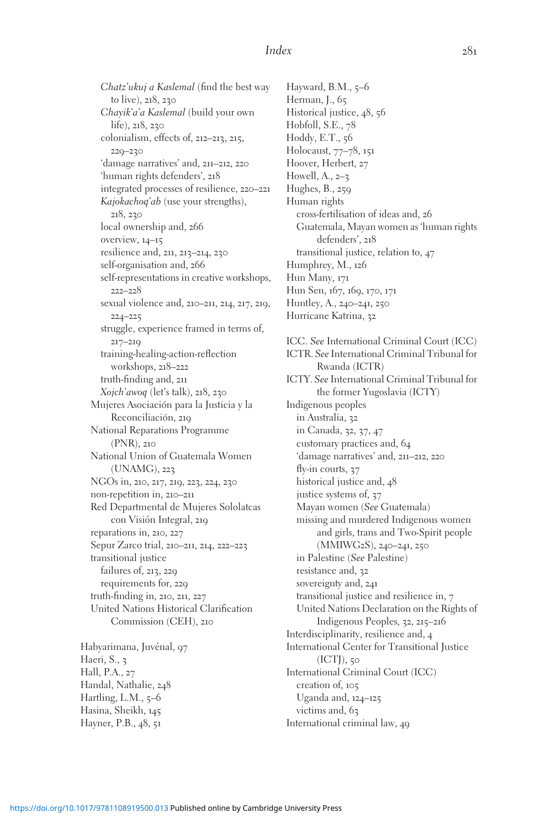Chatz'ukuj a Kaslemal (find the best way to live), 218, 230 Chayik'a'a Kaslemal (build your own life), 218, 230 colonialism, effects of, 212–213, 215, 229–230 'damage narratives' and, 211–212, 220 'human rights defenders', 218 integrated processes of resilience, 220–221 Kajokachoq'ab (use your strengths), 218, 230 local ownership and, 266 overview, 14–15 resilience and, 211, 213–214, 230 self-organisation and, 266 self-representations in creative workshops, 222–228 sexual violence and, 210–211, 214, 217, 219, 224–225 struggle, experience framed in terms of, 217–219 training-healing-action-reflection workshops, 218–222 truth-finding and, 211 Xojch'awoq (let's talk), 218, 230 Mujeres Asociación para la Justicia y la Reconciliación, 219 National Reparations Programme (PNR), 210 National Union of Guatemala Women (UNAMG), 223 NGOs in, 210, 217, 219, 223, 224, 230 non-repetition in, 210–211 Red Departmental de Mujeres Sololatcas con Visión Integral, 219 reparations in, 210, 227 Sepur Zarco trial, 210–211, 214, 222–223 transitional justice failures of, 213, 229 requirements for, 229 truth-finding in, 210, 211, 227 United Nations Historical Clarification Commission (CEH), 210 Habyarimana, Juvénal, 97

Haeri, S., 3 Hall, P.A., 27 Handal, Nathalie, 248 Hartling, L.M., 5-6 Hasina, Sheikh, 145 Hayner, P.B., 48, 51

Hayward, B.M., 5-6 Herman, J., 65 Historical justice, 48, 56 Hobfoll, S.E., 78 Hoddy, E.T., 56 Holocaust, 77–78, 151 Hoover, Herbert, 27 Howell, A., 2–3 Hughes, B., 259 Human rights cross-fertilisation of ideas and, 26 Guatemala, Mayan women as 'human rights defenders', 218 transitional justice, relation to, 47 Humphrey, M., 126 Hun Many, 171 Hun Sen, 167, 169, 170, 171 Huntley, A., 240–241, 250 Hurricane Katrina, 32

ICC. See International Criminal Court (ICC) ICTR. See International Criminal Tribunal for Rwanda (ICTR) ICTY. See International Criminal Tribunal for the former Yugoslavia (ICTY) Indigenous peoples in Australia, 32 in Canada, 32, 37, 47 customary practices and, 64 'damage narratives' and, 211–212, 220 fly-in courts, 37 historical justice and, 48 justice systems of, 37 Mayan women (See Guatemala) missing and murdered Indigenous women and girls, trans and Two-Spirit people (MMIWG2S), 240–241, 250 in Palestine (See Palestine) resistance and, 32 sovereignty and, 241 transitional justice and resilience in, 7 United Nations Declaration on the Rights of Indigenous Peoples, 32, 215–216 Interdisciplinarity, resilience and, 4 International Center for Transitional Justice (ICTJ), 50 International Criminal Court (ICC) creation of, 105 Uganda and, 124–125 victims and, 63 International criminal law, 49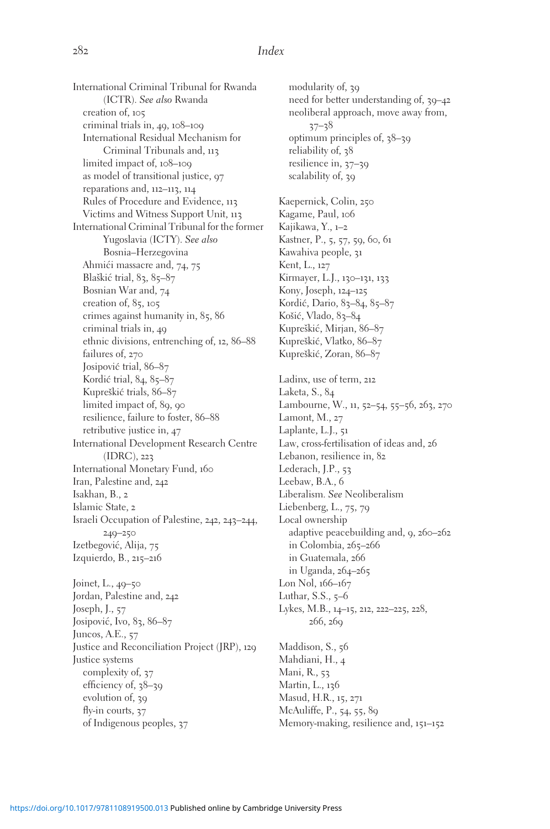International Criminal Tribunal for Rwanda (ICTR). See also Rwanda creation of, 105 criminal trials in, 49, 108–109 International Residual Mechanism for Criminal Tribunals and, 113 limited impact of, 108–109 as model of transitional justice, 97 reparations and, 112–113, 114 Rules of Procedure and Evidence, 113 Victims and Witness Support Unit, 113 International Criminal Tribunal for the former Yugoslavia (ICTY). See also Bosnia–Herzegovina Ahmići massacre and, 74, 75 Blaškić trial, 83, 85–87 Bosnian War and, 74 creation of, 85, 105 crimes against humanity in, 85, 86 criminal trials in, 49 ethnic divisions, entrenching of, 12, 86–88 failures of, 270 Josipović trial, 86–87 Kordić trial, 84, 85–87 Kupreškić trials, 86–87 limited impact of, 89, 90 resilience, failure to foster, 86–88 retributive justice in, 47 International Development Research Centre (IDRC), 223 International Monetary Fund, 160 Iran, Palestine and, 242 Isakhan, B., 2 Islamic State, 2 Israeli Occupation of Palestine, 242, 243–244, 249–250 Izetbegović, Alija, 75 Izquierdo, B., 215–216 Joinet, L., 49–50 Jordan, Palestine and, 242 Joseph, J., 57 Josipović, Ivo, 83, 86–87 Juncos, A.E., 57 Justice and Reconciliation Project (JRP), 129 Justice systems complexity of, 37 efficiency of, 38–39 evolution of, 39 fly-in courts, 37 of Indigenous peoples, 37

modularity of, 39 need for better understanding of, 39–42 neoliberal approach, move away from, 37–38 optimum principles of, 38–39 reliability of, 38 resilience in, 37–39 scalability of, 39 Kaepernick, Colin, 250 Kagame, Paul, 106 Kajikawa, Y., 1–2 Kastner, P., 5, 57, 59, 60, 61 Kawahiva people, 31 Kent, L., 127 Kirmayer, L.J., 130–131, 133 Kony, Joseph, 124–125 Kordić, Dario, 83-84, 85-87 Košić, Vlado, 83-84 Kupreškić, Mirjan, 86–87 Kupreškić, Vlatko, 86–87 Kupreškić, Zoran, 86–87 Ladinx, use of term, 212 Laketa, S., 84 Lambourne, W., 11, 52–54, 55–56, 263, 270 Lamont, M., 27 Laplante, L.J., 51 Law, cross-fertilisation of ideas and, 26 Lebanon, resilience in, 82 Lederach, J.P., 53 Leebaw, B.A., 6 Liberalism. See Neoliberalism Liebenberg, L., 75, 79 Local ownership adaptive peacebuilding and, 9, 260–262 in Colombia, 265–266 in Guatemala, 266 in Uganda, 264–265 Lon Nol, 166–167 Luthar, S.S., 5–6 Lykes, M.B., 14–15, 212, 222–225, 228, 266, 269 Maddison, S., 56 Mahdiani, H., 4 Mani, R., 53 Martin, L., 136 Masud, H.R., 15, 271

McAuliffe, P., 54, 55, 89 Memory-making, resilience and, 151–152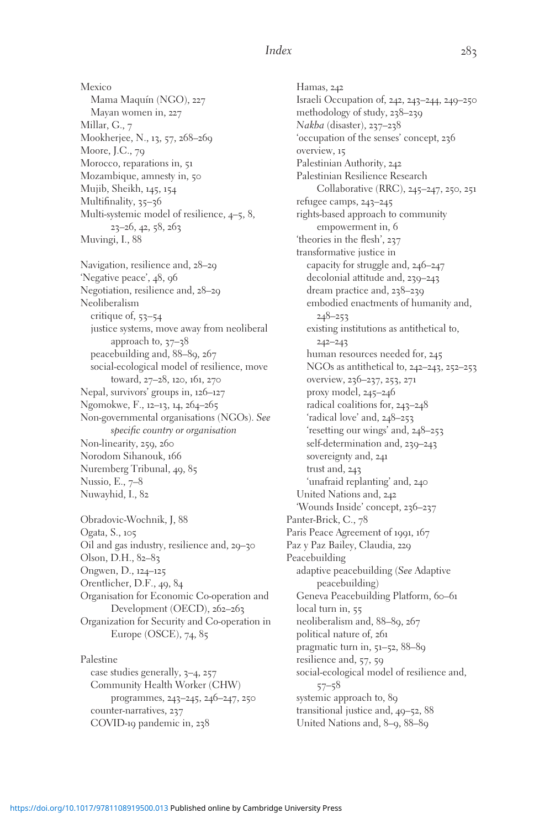Mexico Mama Maquín (NGO), 227 Mayan women in, 227 Millar, G., 7 Mookherjee, N., 13, 57, 268–269 Moore, J.C., 79 Morocco, reparations in, 51 Mozambique, amnesty in, 50 Mujib, Sheikh, 145, 154 Multifinality, 35-36 Multi-systemic model of resilience, 4–5, 8, 23–26, 42, 58, 263 Muvingi, I., 88 Navigation, resilience and, 28–29 'Negative peace', 48, 96 Negotiation, resilience and, 28–29 Neoliberalism critique of, 53–54 justice systems, move away from neoliberal approach to, 37–38 peacebuilding and, 88–89, 267 social-ecological model of resilience, move toward, 27–28, 120, 161, 270 Nepal, survivors' groups in, 126–127 Ngomokwe, F., 12–13, 14, 264–265 Non-governmental organisations (NGOs). See specific country or organisation Non-linearity, 259, 260 Norodom Sihanouk, 166 Nuremberg Tribunal, 49, 85 Nussio, E., 7–8 Nuwayhid, I., 82

Obradovic-Wochnik, J, 88 Ogata, S., 105 Oil and gas industry, resilience and, 29–30 Olson, D.H., 82–83 Ongwen, D., 124–125 Orentlicher, D.F., 49, 84 Organisation for Economic Co-operation and Development (OECD), 262–263 Organization for Security and Co-operation in Europe (OSCE), 74, 85

Palestine case studies generally, 3–4, 257 Community Health Worker (CHW) programmes, 243–245, 246–247, 250 counter-narratives, 237 COVID-19 pandemic in, 238

Hamas, 242 Israeli Occupation of, 242, 243–244, 249–250 methodology of study, 238–239 Nakba (disaster), 237–238 'occupation of the senses' concept, 236 overview, 15 Palestinian Authority, 242 Palestinian Resilience Research Collaborative (RRC), 245–247, 250, 251 refugee camps, 243–245 rights-based approach to community empowerment in, 6 'theories in the flesh', 237 transformative justice in capacity for struggle and, 246–247 decolonial attitude and, 239–243 dream practice and, 238–239 embodied enactments of humanity and, 248–253 existing institutions as antithetical to, 242–243 human resources needed for, 245 NGOs as antithetical to, 242–243, 252–253 overview, 236–237, 253, 271 proxy model, 245–246 radical coalitions for, 243–248 'radical love' and, 248–253 'resetting our wings' and, 248–253 self-determination and, 239–243 sovereignty and, 241 trust and, 243 'unafraid replanting' and, 240 United Nations and, 242 'Wounds Inside' concept, 236–237 Panter-Brick, C., 78 Paris Peace Agreement of 1991, 167 Paz y Paz Bailey, Claudia, 229 Peacebuilding adaptive peacebuilding (See Adaptive peacebuilding) Geneva Peacebuilding Platform, 60-61 local turn in, 55 neoliberalism and, 88–89, 267 political nature of, 261 pragmatic turn in, 51–52, 88–89 resilience and, 57, 59 social-ecological model of resilience and, 57–58 systemic approach to, 89 transitional justice and, 49–52, 88 United Nations and, 8–9, 88–89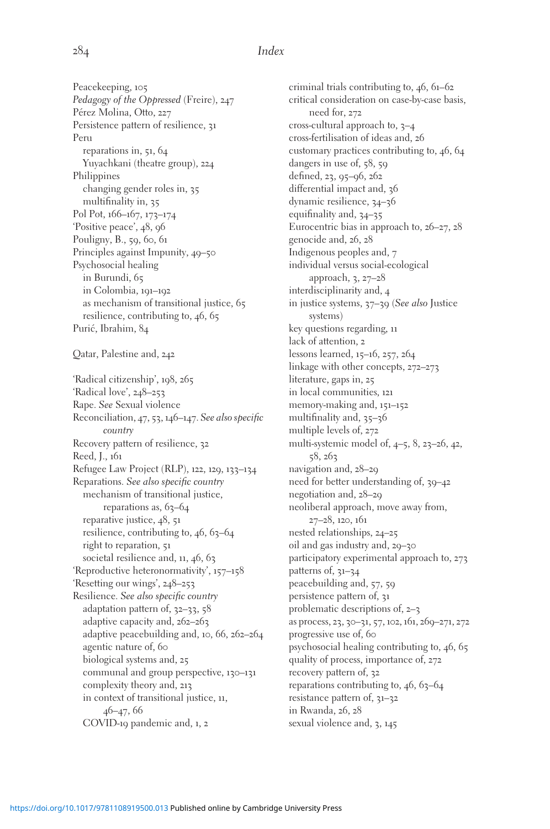Peacekeeping, 105 Pedagogy of the Oppressed (Freire), 247 Pérez Molina, Otto, 227 Persistence pattern of resilience, 31 Peru reparations in, 51, 64 Yuyachkani (theatre group), 224 Philippines changing gender roles in, 35 multifinality in, 35 Pol Pot, 166–167, 173–174 'Positive peace', 48, 96 Pouligny, B., 59, 60, 61 Principles against Impunity, 49–50 Psychosocial healing in Burundi, 65 in Colombia, 191–192 as mechanism of transitional justice, 65 resilience, contributing to, 46, 65 Purić, Ibrahim, 84 Qatar, Palestine and, 242 'Radical citizenship', 198, 265 'Radical love', 248–253 Rape. See Sexual violence Reconciliation, 47, 53, 146–147. See also specific country Recovery pattern of resilience, 32 Reed, J., 161 Refugee Law Project (RLP), 122, 129, 133–134 Reparations. See also specific country mechanism of transitional justice, reparations as,  $63-64$ reparative justice, 48, 51 resilience, contributing to, 46, 63–64 right to reparation, 51 societal resilience and, 11, 46, 63 'Reproductive heteronormativity', 157–158 'Resetting our wings', 248–253 Resilience. See also specific country adaptation pattern of, 32–33, 58 adaptive capacity and, 262–263 adaptive peacebuilding and, 10, 66, 262–264 agentic nature of, 60 biological systems and, 25 communal and group perspective, 130–131 complexity theory and, 213 in context of transitional justice, 11, 46–47, 66 COVID-19 pandemic and, 1, 2

criminal trials contributing to, 46, 61–62 critical consideration on case-by-case basis, need for, 272 cross-cultural approach to,  $3-4$ cross-fertilisation of ideas and, 26 customary practices contributing to, 46, 64 dangers in use of, 58, 59 defined, 23, 95–96, 262 differential impact and, 36 dynamic resilience, 34–36 equifinality and, 34–35 Eurocentric bias in approach to, 26–27, 28 genocide and, 26, 28 Indigenous peoples and, 7 individual versus social-ecological approach, 3, 27–28 interdisciplinarity and, 4 in justice systems, 37–39 (See also Justice systems) key questions regarding, 11 lack of attention, 2 lessons learned, 15–16, 257, 264 linkage with other concepts, 272–273 literature, gaps in, 25 in local communities, 121 memory-making and, 151–152 multifinality and, 35–36 multiple levels of, 272 multi-systemic model of, 4–5, 8, 23–26, 42, 58, 263 navigation and, 28–29 need for better understanding of, 39–42 negotiation and, 28–29 neoliberal approach, move away from, 27–28, 120, 161 nested relationships, 24–25 oil and gas industry and, 29–30 participatory experimental approach to, 273 patterns of, 31–34 peacebuilding and, 57, 59 persistence pattern of, 31 problematic descriptions of, 2–3 as process, 23, 30–31, 57, 102, 161, 269–271, 272 progressive use of, 60 psychosocial healing contributing to, 46, 65 quality of process, importance of, 272 recovery pattern of, 32 reparations contributing to,  $46, 63-64$ resistance pattern of, 31–32 in Rwanda, 26, 28 sexual violence and, 3, 145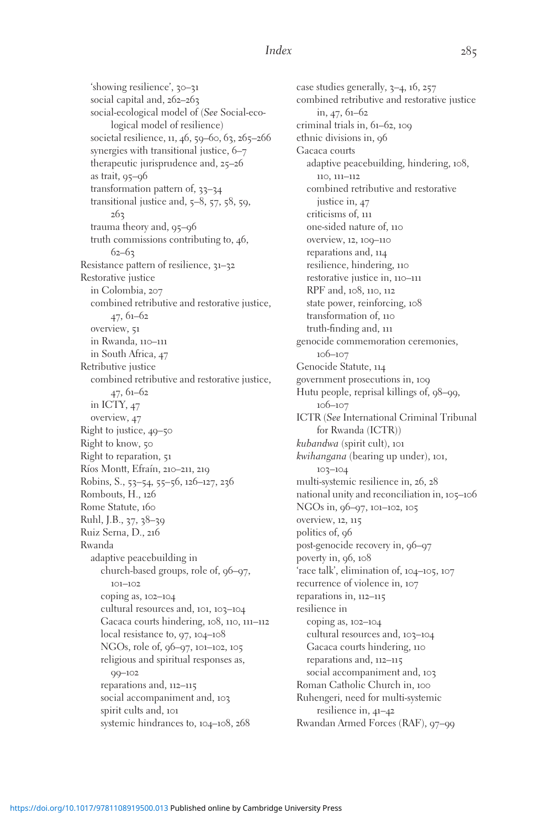'showing resilience', 30–31 social capital and, 262–263 social-ecological model of (See Social-ecological model of resilience) societal resilience, 11, 46, 59–60, 63, 265–266 synergies with transitional justice, 6–7 therapeutic jurisprudence and, 25–26 as trait, 95–96 transformation pattern of, 33–34 transitional justice and, 5–8, 57, 58, 59, 263 trauma theory and, 95–96 truth commissions contributing to, 46, 62–63 Resistance pattern of resilience, 31–32 Restorative justice in Colombia, 207 combined retributive and restorative justice, 47, 61–62 overview, 51 in Rwanda, 110–111 in South Africa, 47 Retributive justice combined retributive and restorative justice, 47, 61–62 in ICTY, 47 overview, 47 Right to justice, 49–50 Right to know, 50 Right to reparation, 51 Ríos Montt, Efraín, 210–211, 219 Robins, S., 53–54, 55–56, 126–127, 236 Rombouts, H., 126 Rome Statute, 160 Ruhl, J.B., 37, 38–39 Ruiz Serna, D., 216 Rwanda adaptive peacebuilding in church-based groups, role of, 96–97, 101–102 coping as, 102–104 cultural resources and, 101, 103–104 Gacaca courts hindering, 108, 110, 111–112 local resistance to, 97, 104–108 NGOs, role of, 96–97, 101–102, 105 religious and spiritual responses as, 99–102 reparations and, 112–115 social accompaniment and, 103 spirit cults and, 101 systemic hindrances to, 104–108, 268

case studies generally, 3–4, 16, 257 combined retributive and restorative justice in, 47, 61–62 criminal trials in, 61–62, 109 ethnic divisions in, 96 Gacaca courts adaptive peacebuilding, hindering, 108, 110, 111–112 combined retributive and restorative justice in, 47 criticisms of, 111 one-sided nature of, 110 overview, 12, 109–110 reparations and, 114 resilience, hindering, 110 restorative justice in, 110–111 RPF and, 108, 110, 112 state power, reinforcing, 108 transformation of, 110 truth-finding and, 111 genocide commemoration ceremonies, 106–107 Genocide Statute, 114 government prosecutions in, 109 Hutu people, reprisal killings of, 98–99, 106–107 ICTR (See International Criminal Tribunal for Rwanda (ICTR)) kubandwa (spirit cult), 101 kwihangana (bearing up under), 101, 103–104 multi-systemic resilience in, 26, 28 national unity and reconciliation in, 105–106 NGOs in, 96–97, 101–102, 105 overview, 12, 115 politics of, 96 post-genocide recovery in, 96–97 poverty in, 96, 108 'race talk', elimination of, 104–105, 107 recurrence of violence in, 107 reparations in, 112–115 resilience in coping as, 102–104 cultural resources and, 103–104 Gacaca courts hindering, 110 reparations and, 112–115 social accompaniment and, 103 Roman Catholic Church in, 100 Ruhengeri, need for multi-systemic resilience in, 41–42 Rwandan Armed Forces (RAF), 97–99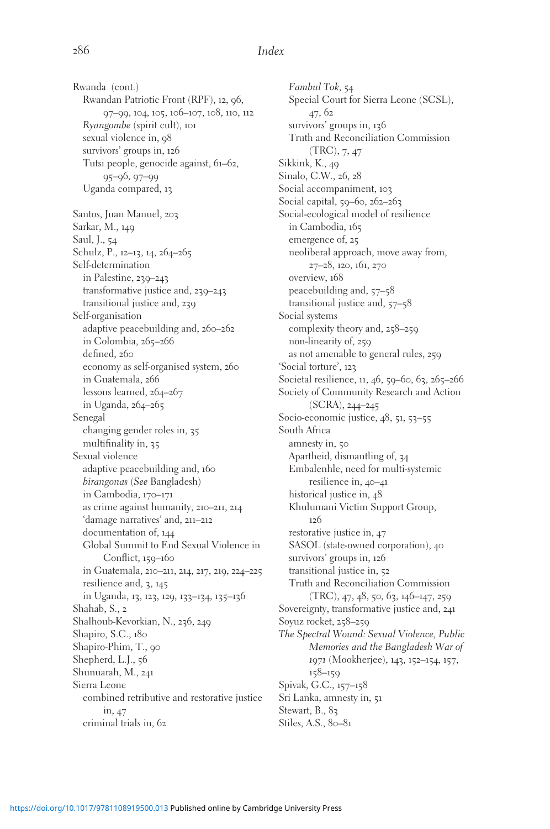Rwanda (cont.) Rwandan Patriotic Front (RPF), 12, 96, 97–99, 104, 105, 106–107, 108, 110, 112 Ryangombe (spirit cult), 101 sexual violence in, 98 survivors' groups in, 126 Tutsi people, genocide against, 61–62, 95–96, 97–99 Uganda compared, 13 Santos, Juan Manuel, 203 Sarkar, M., 149 Saul, J., 54 Schulz, P., 12–13, 14, 264–265 Self-determination in Palestine, 239–243 transformative justice and, 239–243 transitional justice and, 239 Self-organisation adaptive peacebuilding and, 260–262 in Colombia, 265–266 defined, 260 economy as self-organised system, 260 in Guatemala, 266 lessons learned, 264–267 in Uganda, 264–265 Senegal changing gender roles in, 35 multifinality in, 35 Sexual violence adaptive peacebuilding and, 160 birangonas (See Bangladesh) in Cambodia, 170–171 as crime against humanity, 210–211, 214 'damage narratives' and, 211–212 documentation of, 144 Global Summit to End Sexual Violence in Conflict, 159–160 in Guatemala, 210–211, 214, 217, 219, 224–225 resilience and, 3, 145 in Uganda, 13, 123, 129, 133–134, 135–136 Shahab, S., 2 Shalhoub-Kevorkian, N., 236, 249 Shapiro, S.C., 180 Shapiro-Phim, T., 90 Shepherd, L.J., 56 Shunuarah, M., 241 Sierra Leone combined retributive and restorative justice in, 47 criminal trials in, 62

Fambul Tok, 54 Special Court for Sierra Leone (SCSL), 47, 62 survivors' groups in, 136 Truth and Reconciliation Commission (TRC), 7, 47 Sikkink, K., 49 Sinalo, C.W., 26, 28 Social accompaniment, 103 Social capital, 59–60, 262–263 Social-ecological model of resilience in Cambodia, 165 emergence of, 25 neoliberal approach, move away from, 27–28, 120, 161, 270 overview, 168 peacebuilding and, 57–58 transitional justice and, 57–58 Social systems complexity theory and, 258–259 non-linearity of, 259 as not amenable to general rules, 259 'Social torture', 123 Societal resilience, 11, 46, 59–60, 63, 265–266 Society of Community Research and Action (SCRA), 244–245 Socio-economic justice, 48, 51, 53–55 South Africa amnesty in, 50 Apartheid, dismantling of, 34 Embalenhle, need for multi-systemic resilience in, 40–41 historical justice in, 48 Khulumani Victim Support Group, 126 restorative justice in, 47 SASOL (state-owned corporation), 40 survivors' groups in, 126 transitional justice in, 52 Truth and Reconciliation Commission (TRC), 47, 48, 50, 63, 146–147, 259 Sovereignty, transformative justice and, 241 Soyuz rocket, 258–259 The Spectral Wound: Sexual Violence, Public Memories and the Bangladesh War of 1971 (Mookherjee), 143, 152–154, 157, 158–159 Spivak, G.C., 157–158 Sri Lanka, amnesty in, 51 Stewart, B., 83 Stiles, A.S., 80-81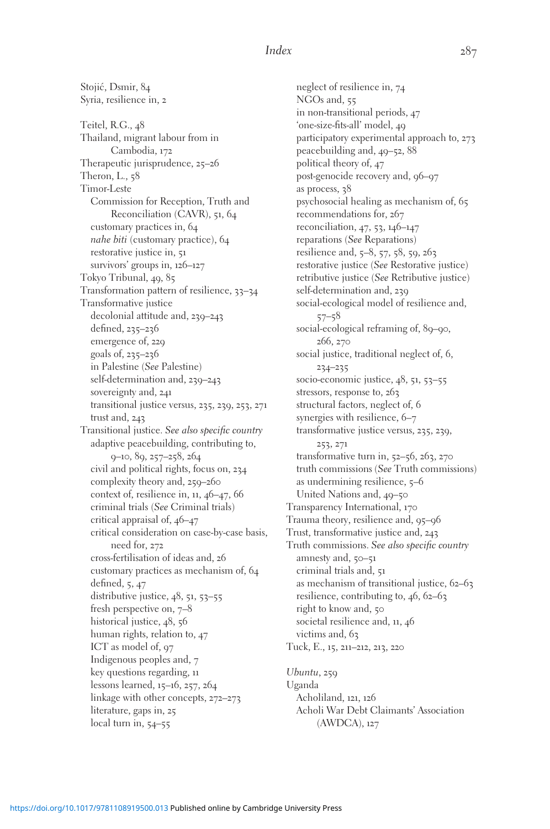Stojić, Dsmir, 84 Syria, resilience in, 2 Teitel, R.G., 48 Thailand, migrant labour from in Cambodia, 172 Therapeutic jurisprudence, 25–26 Theron, L., 58 Timor-Leste Commission for Reception, Truth and Reconciliation (CAVR), 51, 64 customary practices in, 64 nahe biti (customary practice), 64 restorative justice in, 51 survivors' groups in, 126–127 Tokyo Tribunal, 49, 85 Transformation pattern of resilience, 33–34 Transformative justice decolonial attitude and, 239–243 defined, 235–236 emergence of, 229 goals of, 235–236 in Palestine (See Palestine) self-determination and, 239–243 sovereignty and, 241 transitional justice versus, 235, 239, 253, 271 trust and, 243 Transitional justice. See also specific country adaptive peacebuilding, contributing to, 9–10, 89, 257–258, 264 civil and political rights, focus on, 234 complexity theory and, 259–260 context of, resilience in, 11, 46–47, 66 criminal trials (See Criminal trials) critical appraisal of, 46–47 critical consideration on case-by-case basis, need for, 272 cross-fertilisation of ideas and, 26 customary practices as mechanism of, 64 defined, 5, 47 distributive justice, 48, 51, 53–55 fresh perspective on, 7–8 historical justice, 48, 56 human rights, relation to, 47 ICT as model of, 97 Indigenous peoples and, 7 key questions regarding, 11 lessons learned, 15–16, 257, 264 linkage with other concepts, 272–273 literature, gaps in, 25 local turn in, 54–55

neglect of resilience in, 74 NGOs and, 55 in non-transitional periods, 47 'one-size-fits-all' model, 49 participatory experimental approach to, 273 peacebuilding and, 49–52, 88 political theory of, 47 post-genocide recovery and, 96–97 as process, 38 psychosocial healing as mechanism of, 65 recommendations for, 267 reconciliation, 47, 53, 146–147 reparations (See Reparations) resilience and, 5–8, 57, 58, 59, 263 restorative justice (See Restorative justice) retributive justice (See Retributive justice) self-determination and, 239 social-ecological model of resilience and, 57–58 social-ecological reframing of, 89-90, 266, 270 social justice, traditional neglect of, 6, 234–235 socio-economic justice, 48, 51, 53–55 stressors, response to, 263 structural factors, neglect of, 6 synergies with resilience, 6–7 transformative justice versus, 235, 239, 253, 271 transformative turn in, 52–56, 263, 270 truth commissions (See Truth commissions) as undermining resilience, 5–6 United Nations and, 49–50 Transparency International, 170 Trauma theory, resilience and, 95–96 Trust, transformative justice and, 243 Truth commissions. See also specific country amnesty and, 50–51 criminal trials and, 51 as mechanism of transitional justice, 62–63 resilience, contributing to, 46, 62–63 right to know and, 50 societal resilience and, 11, 46 victims and, 63 Tuck, E., 15, 211–212, 213, 220

Ubuntu, 259 Uganda Acholiland, 121, 126 Acholi War Debt Claimants' Association (AWDCA), 127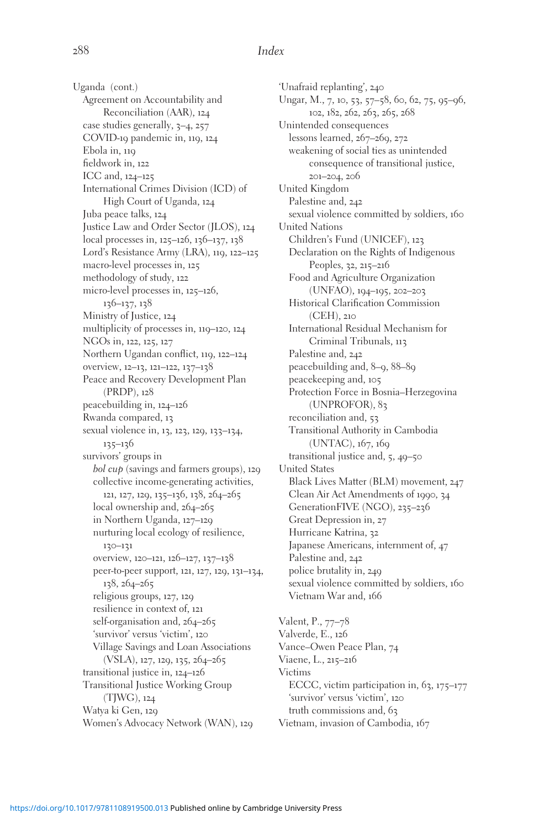Uganda (cont.) Agreement on Accountability and Reconciliation (AAR), 124 case studies generally, 3–4, 257 COVID-19 pandemic in, 119, 124 Ebola in, 119 fieldwork in, 122 ICC and, 124–125 International Crimes Division (ICD) of High Court of Uganda, 124 Juba peace talks, 124 Justice Law and Order Sector (JLOS), 124 local processes in, 125–126, 136–137, 138 Lord's Resistance Army (LRA), 119, 122–125 macro-level processes in, 125 methodology of study, 122 micro-level processes in, 125–126, 136–137, 138 Ministry of Justice, 124 multiplicity of processes in, 119–120, 124 NGOs in, 122, 125, 127 Northern Ugandan conflict, 119, 122–124 overview, 12–13, 121–122, 137–138 Peace and Recovery Development Plan (PRDP), 128 peacebuilding in, 124–126 Rwanda compared, 13 sexual violence in, 13, 123, 129, 133–134, 135–136 survivors' groups in bol cup (savings and farmers groups), 129 collective income-generating activities, 121, 127, 129, 135–136, 138, 264–265 local ownership and, 264–265 in Northern Uganda, 127–129 nurturing local ecology of resilience, 130–131 overview, 120–121, 126–127, 137–138 peer-to-peer support, 121, 127, 129, 131–134, 138, 264–265 religious groups, 127, 129 resilience in context of, 121 self-organisation and, 264-265 'survivor' versus 'victim', 120 Village Savings and Loan Associations (VSLA), 127, 129, 135, 264–265 transitional justice in, 124–126 Transitional Justice Working Group (TJWG), 124 Watya ki Gen, 129 Women's Advocacy Network (WAN), 129

'Unafraid replanting', 240 Ungar, M., 7, 10, 53, 57–58, 60, 62, 75, 95–96, 102, 182, 262, 263, 265, 268 Unintended consequences lessons learned, 267–269, 272 weakening of social ties as unintended consequence of transitional justice, 201–204, 206 United Kingdom Palestine and, 242 sexual violence committed by soldiers, 160 United Nations Children's Fund (UNICEF), 123 Declaration on the Rights of Indigenous Peoples, 32, 215–216 Food and Agriculture Organization (UNFAO), 194–195, 202–203 Historical Clarification Commission (CEH), 210 International Residual Mechanism for Criminal Tribunals, 113 Palestine and, 242 peacebuilding and, 8–9, 88–89 peacekeeping and, 105 Protection Force in Bosnia–Herzegovina (UNPROFOR), 83 reconciliation and, 53 Transitional Authority in Cambodia (UNTAC), 167, 169 transitional justice and, 5, 49–50 United States Black Lives Matter (BLM) movement, 247 Clean Air Act Amendments of 1990, 34 GenerationFIVE (NGO), 235–236 Great Depression in, 27 Hurricane Katrina, 32 Japanese Americans, internment of, 47 Palestine and, 242 police brutality in, 249 sexual violence committed by soldiers, 160 Vietnam War and, 166 Valent, P., 77–78 Valverde, E., 126 Vance–Owen Peace Plan, 74 Viaene, L., 215–216 Victims

ECCC, victim participation in, 63, 175–177 'survivor' versus 'victim', 120 truth commissions and, 63 Vietnam, invasion of Cambodia, 167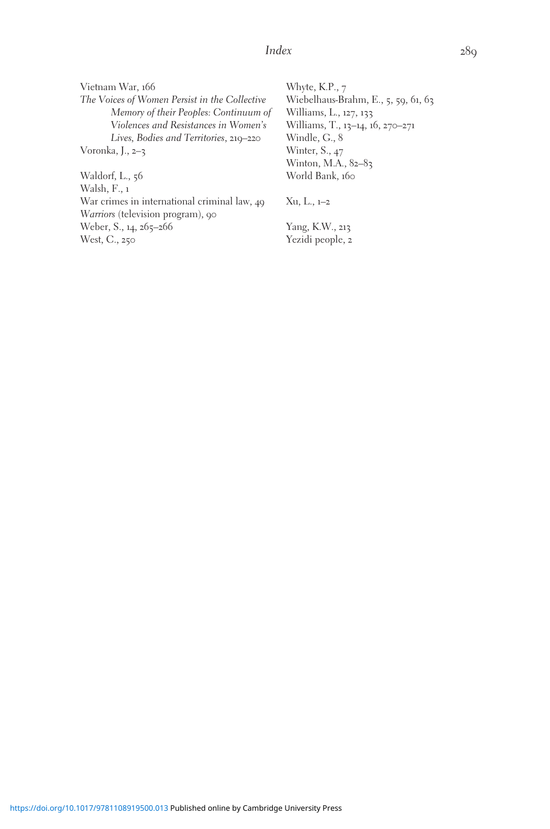Vietnam War, 166 The Voices of Women Persist in the Collective Memory of their Peoples: Continuum of Violences and Resistances in Women's Lives, Bodies and Territories, 219–220 Voronka, J., 2–3

Waldorf, L., 56 Walsh, F., 1 War crimes in international criminal law, 49 Warriors (television program), 90 Weber, S., 14, 265-266 West, C., 250

Whyte, K.P., 7 Wiebelhaus-Brahm, E., 5, 59, 61, 63 Williams, L., 127, 133 Williams, T., 13–14, 16, 270–271 Windle, G., 8 Winter, S., 47 Winton, M.A., 82-83 World Bank, 160

Xu, L., 1–2

Yang, K.W., 213 Yezidi people, 2